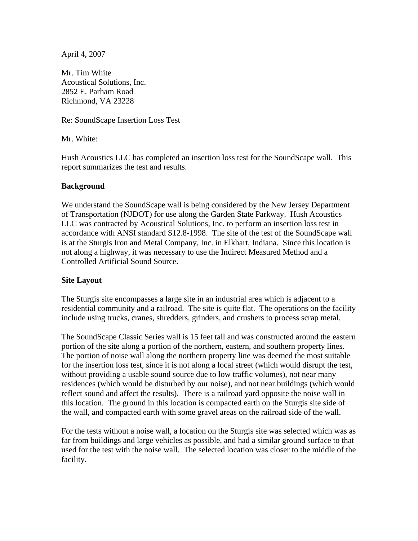April 4, 2007

Mr. Tim White Acoustical Solutions, Inc. 2852 E. Parham Road Richmond, VA 23228

Re: SoundScape Insertion Loss Test

Mr. White:

Hush Acoustics LLC has completed an insertion loss test for the SoundScape wall. This report summarizes the test and results.

### **Background**

We understand the SoundScape wall is being considered by the New Jersey Department of Transportation (NJDOT) for use along the Garden State Parkway. Hush Acoustics LLC was contracted by Acoustical Solutions, Inc. to perform an insertion loss test in accordance with ANSI standard S12.8-1998. The site of the test of the SoundScape wall is at the Sturgis Iron and Metal Company, Inc. in Elkhart, Indiana. Since this location is not along a highway, it was necessary to use the Indirect Measured Method and a Controlled Artificial Sound Source.

# **Site Layout**

The Sturgis site encompasses a large site in an industrial area which is adjacent to a residential community and a railroad. The site is quite flat. The operations on the facility include using trucks, cranes, shredders, grinders, and crushers to process scrap metal.

The SoundScape Classic Series wall is 15 feet tall and was constructed around the eastern portion of the site along a portion of the northern, eastern, and southern property lines. The portion of noise wall along the northern property line was deemed the most suitable for the insertion loss test, since it is not along a local street (which would disrupt the test, without providing a usable sound source due to low traffic volumes), not near many residences (which would be disturbed by our noise), and not near buildings (which would reflect sound and affect the results). There is a railroad yard opposite the noise wall in this location. The ground in this location is compacted earth on the Sturgis site side of the wall, and compacted earth with some gravel areas on the railroad side of the wall.

For the tests without a noise wall, a location on the Sturgis site was selected which was as far from buildings and large vehicles as possible, and had a similar ground surface to that used for the test with the noise wall. The selected location was closer to the middle of the facility.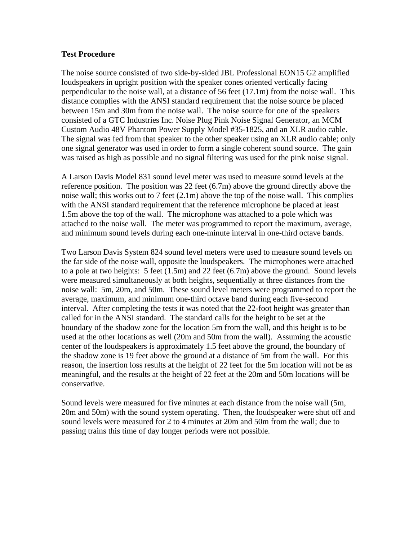#### **Test Procedure**

The noise source consisted of two side-by-sided JBL Professional EON15 G2 amplified loudspeakers in upright position with the speaker cones oriented vertically facing perpendicular to the noise wall, at a distance of 56 feet (17.1m) from the noise wall. This distance complies with the ANSI standard requirement that the noise source be placed between 15m and 30m from the noise wall. The noise source for one of the speakers consisted of a GTC Industries Inc. Noise Plug Pink Noise Signal Generator, an MCM Custom Audio 48V Phantom Power Supply Model #35-1825, and an XLR audio cable. The signal was fed from that speaker to the other speaker using an XLR audio cable; only one signal generator was used in order to form a single coherent sound source. The gain was raised as high as possible and no signal filtering was used for the pink noise signal.

A Larson Davis Model 831 sound level meter was used to measure sound levels at the reference position. The position was 22 feet (6.7m) above the ground directly above the noise wall; this works out to 7 feet (2.1m) above the top of the noise wall. This complies with the ANSI standard requirement that the reference microphone be placed at least 1.5m above the top of the wall. The microphone was attached to a pole which was attached to the noise wall. The meter was programmed to report the maximum, average, and minimum sound levels during each one-minute interval in one-third octave bands.

Two Larson Davis System 824 sound level meters were used to measure sound levels on the far side of the noise wall, opposite the loudspeakers. The microphones were attached to a pole at two heights: 5 feet (1.5m) and 22 feet (6.7m) above the ground. Sound levels were measured simultaneously at both heights, sequentially at three distances from the noise wall: 5m, 20m, and 50m. These sound level meters were programmed to report the average, maximum, and minimum one-third octave band during each five-second interval. After completing the tests it was noted that the 22-foot height was greater than called for in the ANSI standard. The standard calls for the height to be set at the boundary of the shadow zone for the location 5m from the wall, and this height is to be used at the other locations as well (20m and 50m from the wall). Assuming the acoustic center of the loudspeakers is approximately 1.5 feet above the ground, the boundary of the shadow zone is 19 feet above the ground at a distance of 5m from the wall. For this reason, the insertion loss results at the height of 22 feet for the 5m location will not be as meaningful, and the results at the height of 22 feet at the 20m and 50m locations will be conservative.

Sound levels were measured for five minutes at each distance from the noise wall (5m, 20m and 50m) with the sound system operating. Then, the loudspeaker were shut off and sound levels were measured for 2 to 4 minutes at 20m and 50m from the wall; due to passing trains this time of day longer periods were not possible.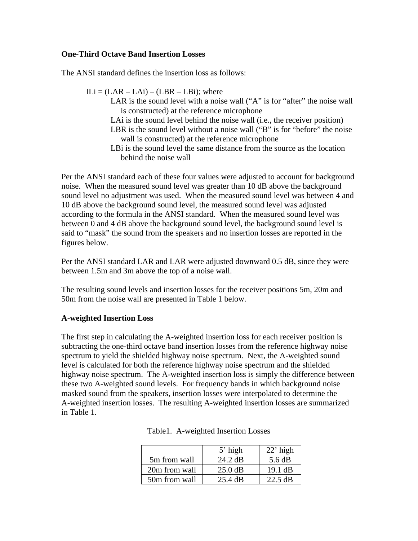## **One-Third Octave Band Insertion Losses**

The ANSI standard defines the insertion loss as follows:

 $ILi = (LAR - LAi) - (LBR - LBi);$  where LAR is the sound level with a noise wall ("A" is for "after" the noise wall is constructed) at the reference microphone LAi is the sound level behind the noise wall (i.e., the receiver position) LBR is the sound level without a noise wall ("B" is for "before" the noise wall is constructed) at the reference microphone LBi is the sound level the same distance from the source as the location behind the noise wall

Per the ANSI standard each of these four values were adjusted to account for background noise. When the measured sound level was greater than 10 dB above the background sound level no adjustment was used. When the measured sound level was between 4 and 10 dB above the background sound level, the measured sound level was adjusted according to the formula in the ANSI standard. When the measured sound level was between 0 and 4 dB above the background sound level, the background sound level is said to "mask" the sound from the speakers and no insertion losses are reported in the figures below.

Per the ANSI standard LAR and LAR were adjusted downward 0.5 dB, since they were between 1.5m and 3m above the top of a noise wall.

The resulting sound levels and insertion losses for the receiver positions 5m, 20m and 50m from the noise wall are presented in Table 1 below.

#### **A-weighted Insertion Loss**

The first step in calculating the A-weighted insertion loss for each receiver position is subtracting the one-third octave band insertion losses from the reference highway noise spectrum to yield the shielded highway noise spectrum. Next, the A-weighted sound level is calculated for both the reference highway noise spectrum and the shielded highway noise spectrum. The A-weighted insertion loss is simply the difference between these two A-weighted sound levels. For frequency bands in which background noise masked sound from the speakers, insertion losses were interpolated to determine the A-weighted insertion losses. The resulting A-weighted insertion losses are summarized in Table 1.

|               | $5'$ high         | $22'$ high        |
|---------------|-------------------|-------------------|
| 5m from wall  | 24.2 dB           | 5.6 dB            |
| 20m from wall | $25.0 \text{ dB}$ | $19.1$ dB         |
| 50m from wall | $25.4 \text{ dB}$ | $22.5 \text{ dB}$ |

|  | Table1. A-weighted Insertion Losses |  |  |
|--|-------------------------------------|--|--|
|--|-------------------------------------|--|--|